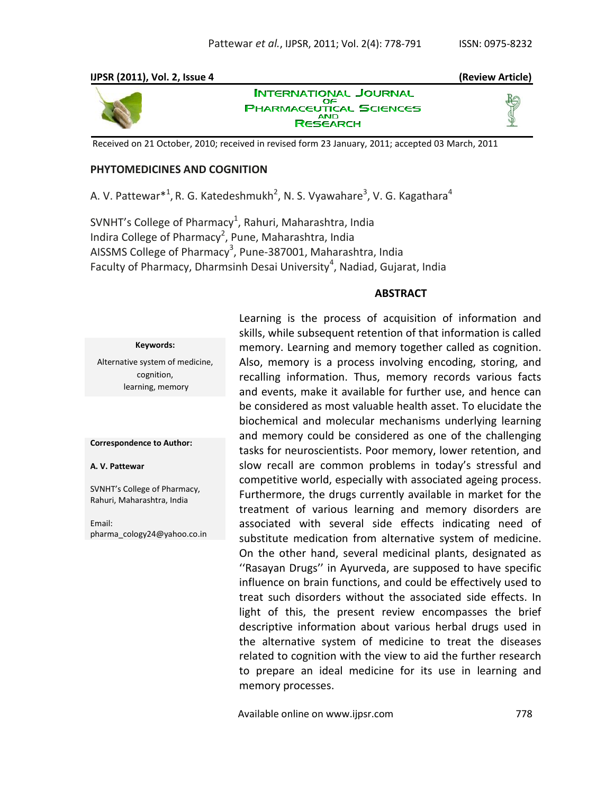### **IJPSR (2011), Vol. 2, Issue 4 (Review Article)**



**INTERNATIONAL JOURNAL** OF **PHARMACEUTICAL SCIENCES RESEARCH** 





Received on 21 October, 2010; received in revised form 23 January, 2011; accepted 03 March, 2011

## **PHYTOMEDICINES AND COGNITION**

A. V. Pattewar $^{*1}$ , R. G. Katedeshmukh<sup>2</sup>, N. S. Vyawahare<sup>3</sup>, V. G. Kagathara<sup>4</sup>

SVNHT's College of Pharmacy<sup>1</sup>, Rahuri, Maharashtra, India Indira College of Pharmacy<sup>2</sup>, Pune, Maharashtra, India AISSMS College of Pharmacy<sup>3</sup>, Pune-387001, Maharashtra, India Faculty of Pharmacy, Dharmsinh Desai University<sup>4</sup>, Nadiad, Gujarat, India

## **ABSTRACT**

#### **Keywords:**

Alternative system of medicine, cognition, learning, memory

#### **Correspondence to Author:**

#### **A. V. Pattewar**

SVNHT's College of Pharmacy, Rahuri, Maharashtra, India

Email: pharma\_cology24@yahoo.co.in

Learning is the process of acquisition of information and skills, while subsequent retention of that information is called memory. Learning and memory together called as cognition. Also, memory is a process involving encoding, storing, and recalling information. Thus, memory records various facts and events, make it available for further use, and hence can be considered as most valuable health asset. To elucidate the biochemical and molecular mechanisms underlying learning and memory could be considered as one of the challenging tasks for neuroscientists. Poor memory, lower retention, and slow recall are common problems in today's stressful and competitive world, especially with associated ageing process. Furthermore, the drugs currently available in market for the treatment of various learning and memory disorders are associated with several side effects indicating need of substitute medication from alternative system of medicine. On the other hand, several medicinal plants, designated as ''Rasayan Drugs'' in Ayurveda, are supposed to have specific influence on brain functions, and could be effectively used to treat such disorders without the associated side effects. In light of this, the present review encompasses the brief descriptive information about various herbal drugs used in the alternative system of medicine to treat the diseases related to cognition with the view to aid the further research to prepare an ideal medicine for its use in learning and memory processes.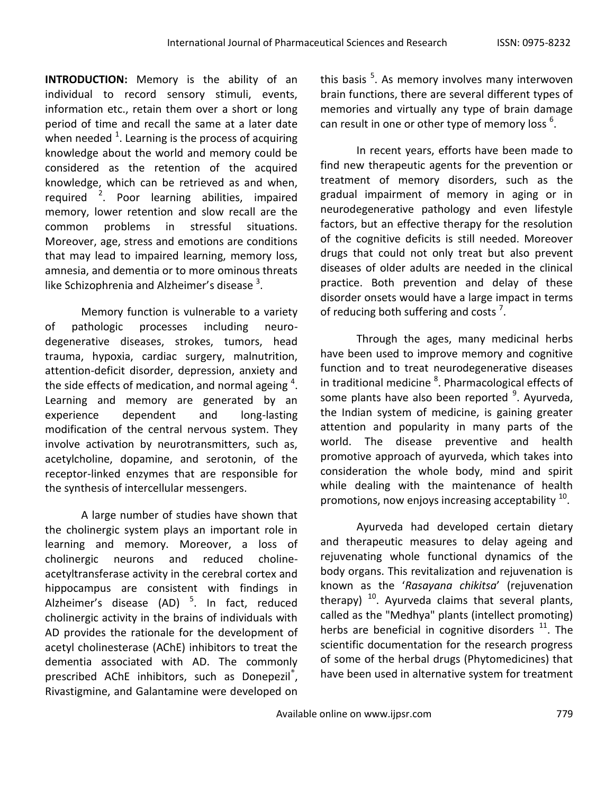**INTRODUCTION:** Memory is the ability of an individual to record sensory stimuli, events, information etc., retain them over a short or long period of time and recall the same at a later date when needed  $^1$ . Learning is the process of acquiring knowledge about the world and memory could be considered as the retention of the acquired knowledge, which can be retrieved as and when, required <sup>2</sup>. Poor learning abilities, impaired memory, lower retention and slow recall are the common problems in stressful situations. Moreover, age, stress and emotions are conditions that may lead to impaired learning, memory loss, amnesia, and dementia or to more ominous threats like Schizophrenia and Alzheimer's disease  $3$ .

Memory function is vulnerable to a variety of pathologic processes including neurodegenerative diseases, strokes, tumors, head trauma, hypoxia, cardiac surgery, malnutrition, attention-deficit disorder, depression, anxiety and the side effects of medication, and normal ageing  $4$ . Learning and memory are generated by an experience dependent and long-lasting modification of the central nervous system. They involve activation by neurotransmitters, such as, acetylcholine, dopamine, and serotonin, of the receptor-linked enzymes that are responsible for the synthesis of intercellular messengers.

A large number of studies have shown that the cholinergic system plays an important role in learning and memory. Moreover, a loss of cholinergic neurons and reduced cholineacetyltransferase activity in the cerebral cortex and hippocampus are consistent with findings in Alzheimer's disease (AD) <sup>5</sup>. In fact, reduced cholinergic activity in the brains of individuals with AD provides the rationale for the development of acetyl cholinesterase (AChE) inhibitors to treat the dementia associated with AD. The commonly prescribed AChE inhibitors, such as Donepezil<sup>®</sup>, Rivastigmine, and Galantamine were developed on

this basis <sup>5</sup>. As memory involves many interwoven brain functions, there are several different types of memories and virtually any type of brain damage can result in one or other type of memory loss  $^6$ .

In recent years, efforts have been made to find new therapeutic agents for the prevention or treatment of memory disorders, such as the gradual impairment of memory in aging or in neurodegenerative pathology and even lifestyle factors, but an effective therapy for the resolution of the cognitive deficits is still needed. Moreover drugs that could not only treat but also prevent diseases of older adults are needed in the clinical practice. Both prevention and delay of these disorder onsets would have a large impact in terms of reducing both suffering and costs<sup>7</sup>.

Through the ages, many medicinal herbs have been used to improve memory and cognitive function and to treat neurodegenerative diseases in traditional medicine <sup>8</sup>. Pharmacological effects of some plants have also been reported <sup>9</sup>. Ayurveda, the Indian system of medicine, is gaining greater attention and popularity in many parts of the world. The disease preventive and health promotive approach of ayurveda, which takes into consideration the whole body, mind and spirit while dealing with the maintenance of health promotions, now enjoys increasing acceptability  $^{10}$ .

Ayurveda had developed certain dietary and therapeutic measures to delay ageing and rejuvenating whole functional dynamics of the body organs. This revitalization and rejuvenation is known as the '*Rasayana chikitsa*' (rejuvenation therapy)  $10$ . Ayurveda claims that several plants, called as the "Medhya" plants (intellect promoting) herbs are beneficial in cognitive disorders  $11$ . The scientific documentation for the research progress of some of the herbal drugs (Phytomedicines) that have been used in alternative system for treatment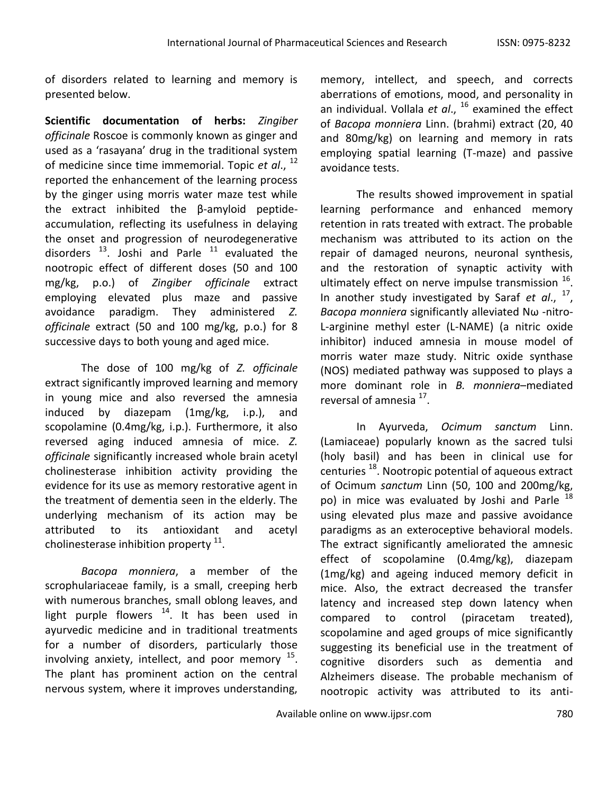of disorders related to learning and memory is presented below.

**Scientific documentation of herbs:** *Zingiber officinale* Roscoe is commonly known as ginger and used as a 'rasayana' drug in the traditional system of medicine since time immemorial. Topic *et al*., 12 reported the enhancement of the learning process by the ginger using morris water maze test while the extract inhibited the β-amyloid peptideaccumulation, reflecting its usefulness in delaying the onset and progression of neurodegenerative disorders  $^{13}$ . Joshi and Parle  $^{11}$  evaluated the nootropic effect of different doses (50 and 100 mg/kg, p.o.) of *Zingiber officinale* extract employing elevated plus maze and passive avoidance paradigm. They administered *Z. officinale* extract (50 and 100 mg/kg, p.o.) for 8 successive days to both young and aged mice.

The dose of 100 mg/kg of *Z. officinale* extract significantly improved learning and memory in young mice and also reversed the amnesia induced by diazepam (1mg/kg, i.p.), and scopolamine (0.4mg/kg, i.p.). Furthermore, it also reversed aging induced amnesia of mice. *Z. officinale* significantly increased whole brain acetyl cholinesterase inhibition activity providing the evidence for its use as memory restorative agent in the treatment of dementia seen in the elderly. The underlying mechanism of its action may be attributed to its antioxidant and acetyl cholinesterase inhibition property  $^{11}$ .

*Bacopa monniera*, a member of the scrophulariaceae family, is a small, creeping herb with numerous branches, small oblong leaves, and light purple flowers  $14$ . It has been used in ayurvedic medicine and in traditional treatments for a number of disorders, particularly those involving anxiety, intellect, and poor memory  $^{15}$ . The plant has prominent action on the central nervous system, where it improves understanding,

memory, intellect, and speech, and corrects aberrations of emotions, mood, and personality in an individual. Vollala *et al*., <sup>16</sup> examined the effect of *Bacopa monniera* Linn. (brahmi) extract (20, 40 and 80mg/kg) on learning and memory in rats employing spatial learning (T-maze) and passive avoidance tests.

The results showed improvement in spatial learning performance and enhanced memory retention in rats treated with extract. The probable mechanism was attributed to its action on the repair of damaged neurons, neuronal synthesis, and the restoration of synaptic activity with ultimately effect on nerve impulse transmission  $^{16}$ . In another study investigated by Saraf *et al*., 17 , *Bacopa monniera* significantly alleviated Nω -nitro-L-arginine methyl ester (L-NAME) (a nitric oxide inhibitor) induced amnesia in mouse model of morris water maze study. Nitric oxide synthase (NOS) mediated pathway was supposed to plays a more dominant role in *B. monniera*–mediated reversal of amnesia <sup>17</sup>.

In Ayurveda, *Ocimum sanctum* Linn. (Lamiaceae) popularly known as the sacred tulsi (holy basil) and has been in clinical use for centuries <sup>18</sup>. Nootropic potential of aqueous extract of Ocimum *sanctum* Linn (50, 100 and 200mg/kg, po) in mice was evaluated by Joshi and Parle  $^{18}$ using elevated plus maze and passive avoidance paradigms as an exteroceptive behavioral models. The extract significantly ameliorated the amnesic effect of scopolamine (0.4mg/kg), diazepam (1mg/kg) and ageing induced memory deficit in mice. Also, the extract decreased the transfer latency and increased step down latency when compared to control (piracetam treated), scopolamine and aged groups of mice significantly suggesting its beneficial use in the treatment of cognitive disorders such as dementia and Alzheimers disease. The probable mechanism of nootropic activity was attributed to its anti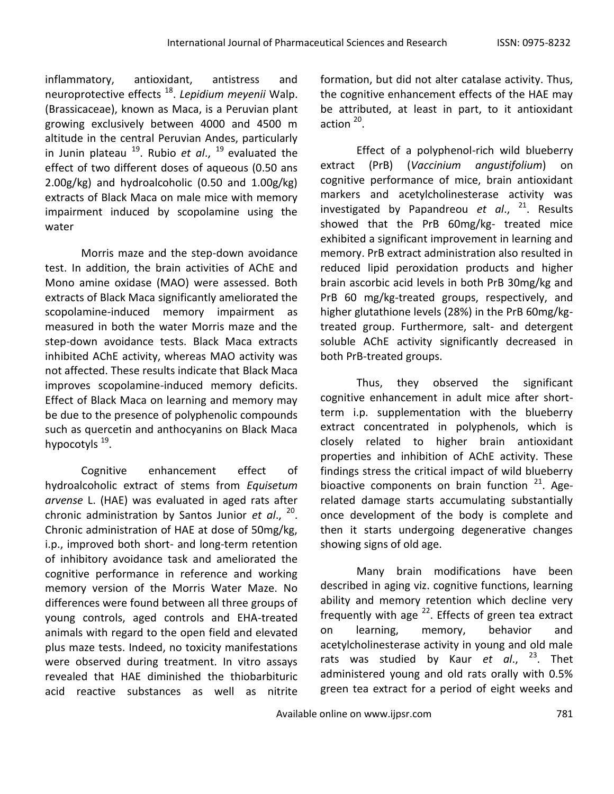inflammatory, antioxidant, antistress and neuroprotective effects <sup>18</sup> . *Lepidium meyenii* Walp. (Brassicaceae), known as Maca, is a Peruvian plant growing exclusively between 4000 and 4500 m altitude in the central Peruvian Andes, particularly in Junin plateau <sup>19</sup>. Rubio *et al.*, <sup>19</sup> evaluated the effect of two different doses of aqueous (0.50 ans 2.00g/kg) and hydroalcoholic (0.50 and 1.00g/kg) extracts of Black Maca on male mice with memory impairment induced by scopolamine using the water

Morris maze and the step-down avoidance test. In addition, the brain activities of AChE and Mono amine oxidase (MAO) were assessed. Both extracts of Black Maca significantly ameliorated the scopolamine-induced memory impairment as measured in both the water Morris maze and the step-down avoidance tests. Black Maca extracts inhibited AChE activity, whereas MAO activity was not affected. These results indicate that Black Maca improves scopolamine-induced memory deficits. Effect of Black Maca on learning and memory may be due to the presence of polyphenolic compounds such as quercetin and anthocyanins on Black Maca hypocotyls <sup>19</sup>.

Cognitive enhancement effect of hydroalcoholic extract of stems from *Equisetum arvense* L. (HAE) was evaluated in aged rats after chronic administration by Santos Junior *et al*., 20 . Chronic administration of HAE at dose of 50mg/kg, i.p., improved both short- and long-term retention of inhibitory avoidance task and ameliorated the cognitive performance in reference and working memory version of the Morris Water Maze. No differences were found between all three groups of young controls, aged controls and EHA-treated animals with regard to the open field and elevated plus maze tests. Indeed, no toxicity manifestations were observed during treatment. In vitro assays revealed that HAE diminished the thiobarbituric acid reactive substances as well as nitrite formation, but did not alter catalase activity. Thus, the cognitive enhancement effects of the HAE may be attributed, at least in part, to it antioxidant action  $^{20}$ .

Effect of a polyphenol-rich wild blueberry extract (PrB) (*Vaccinium angustifolium*) on cognitive performance of mice, brain antioxidant markers and acetylcholinesterase activity was investigated by Papandreou *et al*., <sup>21</sup>. Results showed that the PrB 60mg/kg- treated mice exhibited a significant improvement in learning and memory. PrB extract administration also resulted in reduced lipid peroxidation products and higher brain ascorbic acid levels in both PrB 30mg/kg and PrB 60 mg/kg-treated groups, respectively, and higher glutathione levels (28%) in the PrB 60mg/kgtreated group. Furthermore, salt- and detergent soluble AChE activity significantly decreased in both PrB-treated groups.

Thus, they observed the significant cognitive enhancement in adult mice after shortterm i.p. supplementation with the blueberry extract concentrated in polyphenols, which is closely related to higher brain antioxidant properties and inhibition of AChE activity. These findings stress the critical impact of wild blueberry bioactive components on brain function <sup>21</sup>. Agerelated damage starts accumulating substantially once development of the body is complete and then it starts undergoing degenerative changes showing signs of old age.

Many brain modifications have been described in aging viz. cognitive functions, learning ability and memory retention which decline very frequently with age  $^{22}$ . Effects of green tea extract on learning, memory, behavior and acetylcholinesterase activity in young and old male rats was studied by Kaur *et al*., <sup>23</sup>. Thet administered young and old rats orally with 0.5% green tea extract for a period of eight weeks and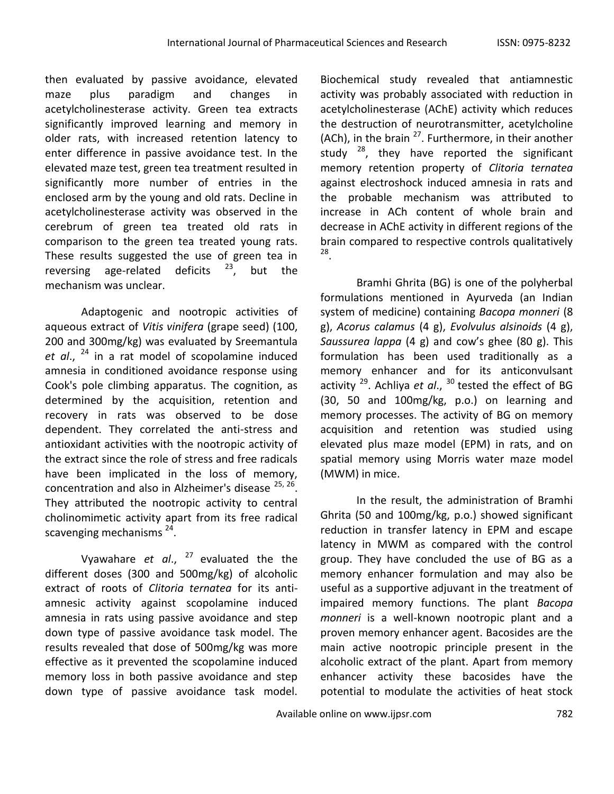then evaluated by passive avoidance, elevated maze plus paradigm and changes in acetylcholinesterase activity. Green tea extracts significantly improved learning and memory in older rats, with increased retention latency to enter difference in passive avoidance test. In the elevated maze test, green tea treatment resulted in significantly more number of entries in the enclosed arm by the young and old rats. Decline in acetylcholinesterase activity was observed in the cerebrum of green tea treated old rats in comparison to the green tea treated young rats. These results suggested the use of green tea in reversing age-related deficits  $23$ , but the mechanism was unclear.

Adaptogenic and nootropic activities of aqueous extract of *Vitis vinifera* (grape seed) (100, 200 and 300mg/kg) was evaluated by Sreemantula *et al*., <sup>24</sup> in a rat model of scopolamine induced amnesia in conditioned avoidance response using Cook's pole climbing apparatus. The cognition, as determined by the acquisition, retention and recovery in rats was observed to be dose dependent. They correlated the anti-stress and antioxidant activities with the nootropic activity of the extract since the role of stress and free radicals have been implicated in the loss of memory, concentration and also in Alzheimer's disease  $^{25, 26}$ . They attributed the nootropic activity to central cholinomimetic activity apart from its free radical scavenging mechanisms<sup>24</sup>.

Vyawahare et al., <sup>27</sup> evaluated the the different doses (300 and 500mg/kg) of alcoholic extract of roots of *Clitoria ternatea* for its antiamnesic activity against scopolamine induced amnesia in rats using passive avoidance and step down type of passive avoidance task model. The results revealed that dose of 500mg/kg was more effective as it prevented the scopolamine induced memory loss in both passive avoidance and step down type of passive avoidance task model.

Biochemical study revealed that antiamnestic activity was probably associated with reduction in acetylcholinesterase (AChE) activity which reduces the destruction of neurotransmitter, acetylcholine (ACh), in the brain  $^{27}$ . Furthermore, in their another study  $^{28}$ , they have reported the significant memory retention property of *Clitoria ternatea* against electroshock induced amnesia in rats and the probable mechanism was attributed to increase in ACh content of whole brain and decrease in AChE activity in different regions of the brain compared to respective controls qualitatively 28 .

Bramhi Ghrita (BG) is one of the polyherbal formulations mentioned in Ayurveda (an Indian system of medicine) containing *Bacopa monneri* (8 g), *Acorus calamus* (4 g), *Evolvulus alsinoids* (4 g), *Saussurea lappa* (4 g) and cow's ghee (80 g). This formulation has been used traditionally as a memory enhancer and for its anticonvulsant activity <sup>29</sup>. Achliya *et al.,* <sup>30</sup> tested the effect of BG (30, 50 and 100mg/kg, p.o.) on learning and memory processes. The activity of BG on memory acquisition and retention was studied using elevated plus maze model (EPM) in rats, and on spatial memory using Morris water maze model (MWM) in mice.

In the result, the administration of Bramhi Ghrita (50 and 100mg/kg, p.o.) showed significant reduction in transfer latency in EPM and escape latency in MWM as compared with the control group. They have concluded the use of BG as a memory enhancer formulation and may also be useful as a supportive adjuvant in the treatment of impaired memory functions. The plant *Bacopa monneri* is a well-known nootropic plant and a proven memory enhancer agent. Bacosides are the main active nootropic principle present in the alcoholic extract of the plant. Apart from memory enhancer activity these bacosides have the potential to modulate the activities of heat stock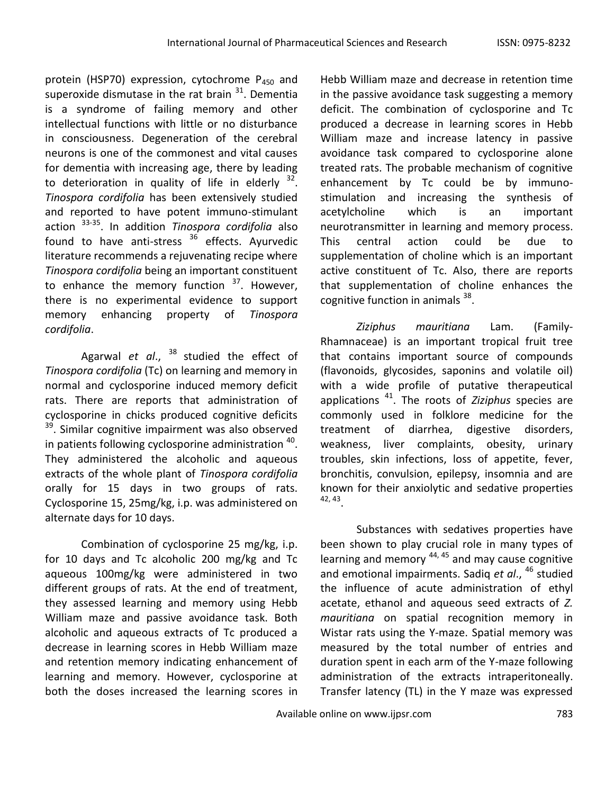protein (HSP70) expression, cytochrome  $P_{450}$  and superoxide dismutase in the rat brain  $^{31}$ . Dementia is a syndrome of failing memory and other intellectual functions with little or no disturbance in consciousness. Degeneration of the cerebral neurons is one of the commonest and vital causes for dementia with increasing age, there by leading to deterioration in quality of life in elderly  $32$ . *Tinospora cordifolia* has been extensively studied and reported to have potent immuno-stimulant action 33-35. In addition *Tinospora cordifolia* also found to have anti-stress  $36$  effects. Ayurvedic literature recommends a rejuvenating recipe where *Tinospora cordifolia* being an important constituent to enhance the memory function  $37$ . However, there is no experimental evidence to support memory enhancing property of *Tinospora cordifolia*.

Agarwal *et al.*, <sup>38</sup> studied the effect of *Tinospora cordifolia* (Tc) on learning and memory in normal and cyclosporine induced memory deficit rats. There are reports that administration of cyclosporine in chicks produced cognitive deficits <sup>39</sup>. Similar cognitive impairment was also observed in patients following cyclosporine administration  $^{40}$ . They administered the alcoholic and aqueous extracts of the whole plant of *Tinospora cordifolia* orally for 15 days in two groups of rats. Cyclosporine 15, 25mg/kg, i.p. was administered on alternate days for 10 days.

Combination of cyclosporine 25 mg/kg, i.p. for 10 days and Tc alcoholic 200 mg/kg and Tc aqueous 100mg/kg were administered in two different groups of rats. At the end of treatment, they assessed learning and memory using Hebb William maze and passive avoidance task. Both alcoholic and aqueous extracts of Tc produced a decrease in learning scores in Hebb William maze and retention memory indicating enhancement of learning and memory. However, cyclosporine at both the doses increased the learning scores in

Hebb William maze and decrease in retention time in the passive avoidance task suggesting a memory deficit. The combination of cyclosporine and Tc produced a decrease in learning scores in Hebb William maze and increase latency in passive avoidance task compared to cyclosporine alone treated rats. The probable mechanism of cognitive enhancement by Tc could be by immunostimulation and increasing the synthesis of acetylcholine which is an important neurotransmitter in learning and memory process. This central action could be due to supplementation of choline which is an important active constituent of Tc. Also, there are reports that supplementation of choline enhances the cognitive function in animals <sup>38</sup>.

*Ziziphus mauritiana* Lam. (Family-Rhamnaceae) is an important tropical fruit tree that contains important source of compounds (flavonoids, glycosides, saponins and volatile oil) with a wide profile of putative therapeutical applications <sup>41</sup>. The roots of *Ziziphus* species are commonly used in folklore medicine for the treatment of diarrhea, digestive disorders, weakness, liver complaints, obesity, urinary troubles, skin infections, loss of appetite, fever, bronchitis, convulsion, epilepsy, insomnia and are known for their anxiolytic and sedative properties 42, 43 .

Substances with sedatives properties have been shown to play crucial role in many types of learning and memory 44, 45 and may cause cognitive and emotional impairments. Sadiq *et al*., <sup>46</sup> studied the influence of acute administration of ethyl acetate, ethanol and aqueous seed extracts of *Z. mauritiana* on spatial recognition memory in Wistar rats using the Y-maze. Spatial memory was measured by the total number of entries and duration spent in each arm of the Y-maze following administration of the extracts intraperitoneally. Transfer latency (TL) in the Y maze was expressed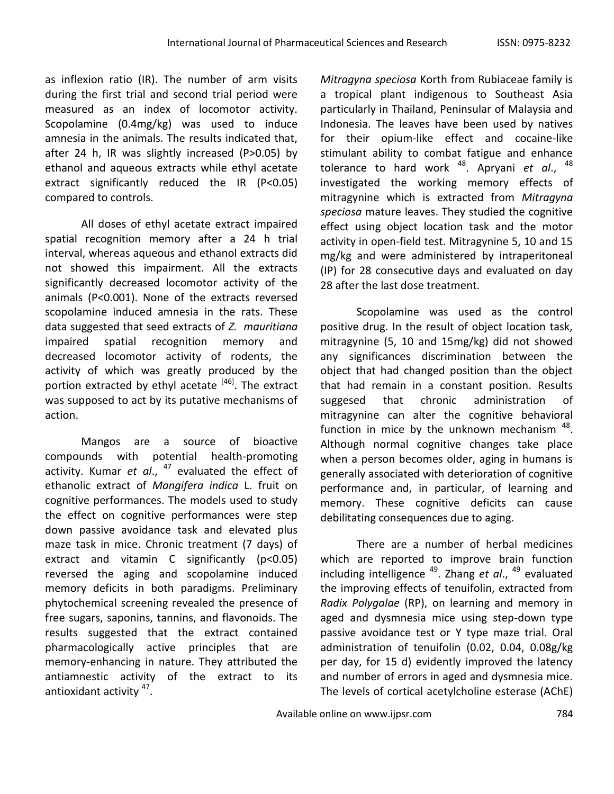as inflexion ratio (IR). The number of arm visits during the first trial and second trial period were measured as an index of locomotor activity. Scopolamine (0.4mg/kg) was used to induce amnesia in the animals. The results indicated that, after 24 h, IR was slightly increased (P>0.05) by ethanol and aqueous extracts while ethyl acetate extract significantly reduced the IR (P<0.05) compared to controls.

All doses of ethyl acetate extract impaired spatial recognition memory after a 24 h trial interval, whereas aqueous and ethanol extracts did not showed this impairment. All the extracts significantly decreased locomotor activity of the animals (P<0.001). None of the extracts reversed scopolamine induced amnesia in the rats. These data suggested that seed extracts of *Z. mauritiana* impaired spatial recognition memory and decreased locomotor activity of rodents, the activity of which was greatly produced by the portion extracted by ethyl acetate  $[46]$ . The extract was supposed to act by its putative mechanisms of action.

Mangos are a source of bioactive compounds with potential health-promoting activity. Kumar *et al*., <sup>47</sup> evaluated the effect of ethanolic extract of *Mangifera indica* L. fruit on cognitive performances. The models used to study the effect on cognitive performances were step down passive avoidance task and elevated plus maze task in mice. Chronic treatment (7 days) of extract and vitamin C significantly (p<0.05) reversed the aging and scopolamine induced memory deficits in both paradigms. Preliminary phytochemical screening revealed the presence of free sugars, saponins, tannins, and flavonoids. The results suggested that the extract contained pharmacologically active principles that are memory-enhancing in nature. They attributed the antiamnestic activity of the extract to its antioxidant activity <sup>47</sup>.

*Mitragyna speciosa* Korth from Rubiaceae family is a tropical plant indigenous to Southeast Asia particularly in Thailand, Peninsular of Malaysia and Indonesia. The leaves have been used by natives for their opium-like effect and cocaine-like stimulant ability to combat fatigue and enhance tolerance to hard work <sup>48</sup>. Apryani *et al*., 48 investigated the working memory effects of mitragynine which is extracted from *Mitragyna speciosa* mature leaves. They studied the cognitive effect using object location task and the motor activity in open-field test. Mitragynine 5, 10 and 15 mg/kg and were administered by intraperitoneal (IP) for 28 consecutive days and evaluated on day 28 after the last dose treatment.

Scopolamine was used as the control positive drug. In the result of object location task, mitragynine (5, 10 and 15mg/kg) did not showed any significances discrimination between the object that had changed position than the object that had remain in a constant position. Results suggesed that chronic administration of mitragynine can alter the cognitive behavioral function in mice by the unknown mechanism  $^{48}$ . Although normal cognitive changes take place when a person becomes older, aging in humans is generally associated with deterioration of cognitive performance and, in particular, of learning and memory. These cognitive deficits can cause debilitating consequences due to aging.

There are a number of herbal medicines which are reported to improve brain function including intelligence <sup>49</sup>. Zhang *et al*., <sup>49</sup> evaluated the improving effects of tenuifolin, extracted from *Radix Polygalae* (RP), on learning and memory in aged and dysmnesia mice using step-down type passive avoidance test or Y type maze trial. Oral administration of tenuifolin (0.02, 0.04, 0.08g/kg per day, for 15 d) evidently improved the latency and number of errors in aged and dysmnesia mice. The levels of cortical acetylcholine esterase (AChE)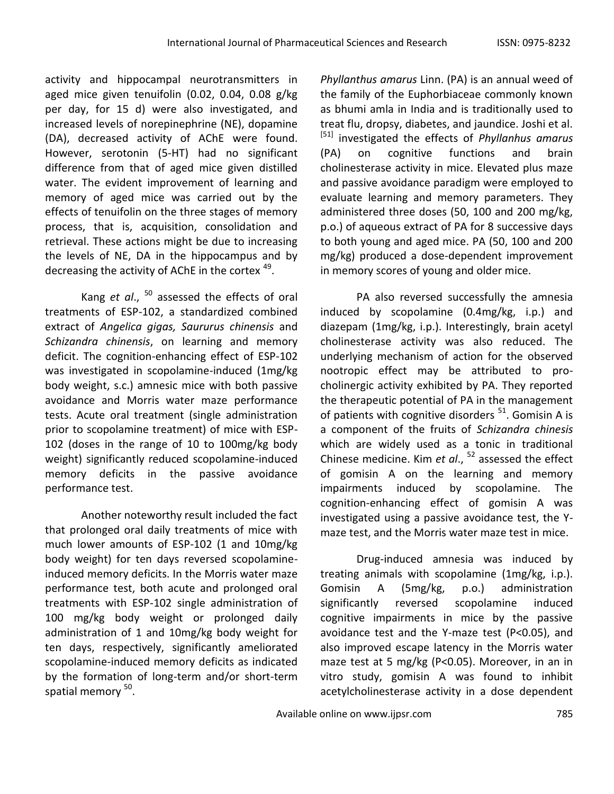activity and hippocampal neurotransmitters in aged mice given tenuifolin (0.02, 0.04, 0.08 g/kg per day, for 15 d) were also investigated, and increased levels of norepinephrine (NE), dopamine (DA), decreased activity of AChE were found. However, serotonin (5-HT) had no significant difference from that of aged mice given distilled water. The evident improvement of learning and memory of aged mice was carried out by the effects of tenuifolin on the three stages of memory process, that is, acquisition, consolidation and retrieval. These actions might be due to increasing the levels of NE, DA in the hippocampus and by decreasing the activity of AChE in the cortex <sup>49</sup>.

Kang *et al*., <sup>50</sup> assessed the effects of oral treatments of ESP-102, a standardized combined extract of *Angelica gigas, Saururus chinensis* and *Schizandra chinensis*, on learning and memory deficit. The cognition-enhancing effect of ESP-102 was investigated in scopolamine-induced (1mg/kg body weight, s.c.) amnesic mice with both passive avoidance and Morris water maze performance tests. Acute oral treatment (single administration prior to scopolamine treatment) of mice with ESP-102 (doses in the range of 10 to 100mg/kg body weight) significantly reduced scopolamine-induced memory deficits in the passive avoidance performance test.

Another noteworthy result included the fact that prolonged oral daily treatments of mice with much lower amounts of ESP-102 (1 and 10mg/kg body weight) for ten days reversed scopolamineinduced memory deficits. In the Morris water maze performance test, both acute and prolonged oral treatments with ESP-102 single administration of 100 mg/kg body weight or prolonged daily administration of 1 and 10mg/kg body weight for ten days, respectively, significantly ameliorated scopolamine-induced memory deficits as indicated by the formation of long-term and/or short-term spatial memory <sup>50</sup>.

*Phyllanthus amarus* Linn. (PA) is an annual weed of the family of the Euphorbiaceae commonly known as bhumi amla in India and is traditionally used to treat flu, dropsy, diabetes, and jaundice. Joshi et al. [51] investigated the effects of *Phyllanhus amarus* (PA) on cognitive functions and brain cholinesterase activity in mice. Elevated plus maze and passive avoidance paradigm were employed to evaluate learning and memory parameters. They administered three doses (50, 100 and 200 mg/kg, p.o.) of aqueous extract of PA for 8 successive days to both young and aged mice. PA (50, 100 and 200 mg/kg) produced a dose-dependent improvement in memory scores of young and older mice.

PA also reversed successfully the amnesia induced by scopolamine (0.4mg/kg, i.p.) and diazepam (1mg/kg, i.p.). Interestingly, brain acetyl cholinesterase activity was also reduced. The underlying mechanism of action for the observed nootropic effect may be attributed to procholinergic activity exhibited by PA. They reported the therapeutic potential of PA in the management of patients with cognitive disorders  $51$ . Gomisin A is a component of the fruits of *Schizandra chinesis* which are widely used as a tonic in traditional Chinese medicine. Kim *et al*., <sup>52</sup> assessed the effect of gomisin A on the learning and memory impairments induced by scopolamine. The cognition-enhancing effect of gomisin A was investigated using a passive avoidance test, the Ymaze test, and the Morris water maze test in mice.

Drug-induced amnesia was induced by treating animals with scopolamine (1mg/kg, i.p.). Gomisin A (5mg/kg, p.o.) administration significantly reversed scopolamine induced cognitive impairments in mice by the passive avoidance test and the Y-maze test (P<0.05), and also improved escape latency in the Morris water maze test at 5 mg/kg (P<0.05). Moreover, in an in vitro study, gomisin A was found to inhibit acetylcholinesterase activity in a dose dependent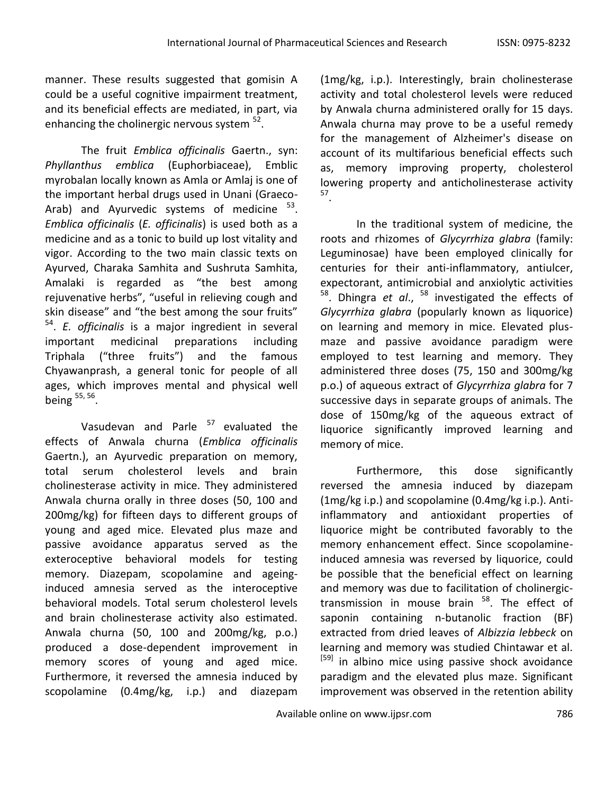manner. These results suggested that gomisin A could be a useful cognitive impairment treatment, and its beneficial effects are mediated, in part, via enhancing the cholinergic nervous system <sup>52</sup>.

The fruit *Emblica officinalis* Gaertn., syn: *Phyllanthus emblica* (Euphorbiaceae), Emblic myrobalan locally known as Amla or Amlaj is one of the important herbal drugs used in Unani (Graeco-Arab) and Ayurvedic systems of medicine  $53$ . *Emblica officinalis* (*E. officinalis*) is used both as a medicine and as a tonic to build up lost vitality and vigor. According to the two main classic texts on Ayurved, Charaka Samhita and Sushruta Samhita, Amalaki is regarded as "the best among rejuvenative herbs", "useful in relieving cough and skin disease" and "the best among the sour fruits" 54 . *E. officinalis* is a major ingredient in several important medicinal preparations including Triphala ("three fruits") and the famous Chyawanprash, a general tonic for people of all ages, which improves mental and physical well being <sup>55, 56</sup>.

Vasudevan and Parle  $57$  evaluated the effects of Anwala churna (*Emblica officinalis* Gaertn.), an Ayurvedic preparation on memory, total serum cholesterol levels and brain cholinesterase activity in mice. They administered Anwala churna orally in three doses (50, 100 and 200mg/kg) for fifteen days to different groups of young and aged mice. Elevated plus maze and passive avoidance apparatus served as the exteroceptive behavioral models for testing memory. Diazepam, scopolamine and ageinginduced amnesia served as the interoceptive behavioral models. Total serum cholesterol levels and brain cholinesterase activity also estimated. Anwala churna (50, 100 and 200mg/kg, p.o.) produced a dose-dependent improvement in memory scores of young and aged mice. Furthermore, it reversed the amnesia induced by scopolamine (0.4mg/kg, i.p.) and diazepam

(1mg/kg, i.p.). Interestingly, brain cholinesterase activity and total cholesterol levels were reduced by Anwala churna administered orally for 15 days. Anwala churna may prove to be a useful remedy for the management of Alzheimer's disease on account of its multifarious beneficial effects such as, memory improving property, cholesterol lowering property and anticholinesterase activity 57 .

In the traditional system of medicine, the roots and rhizomes of *Glycyrrhiza glabra* (family: Leguminosae) have been employed clinically for centuries for their anti-inflammatory, antiulcer, expectorant, antimicrobial and anxiolytic activities <sup>58</sup>. Dhingra *et al*., <sup>58</sup> investigated the effects of *Glycyrrhiza glabra* (popularly known as liquorice) on learning and memory in mice. Elevated plusmaze and passive avoidance paradigm were employed to test learning and memory. They administered three doses (75, 150 and 300mg/kg p.o.) of aqueous extract of *Glycyrrhiza glabra* for 7 successive days in separate groups of animals. The dose of 150mg/kg of the aqueous extract of liquorice significantly improved learning and memory of mice.

Furthermore, this dose significantly reversed the amnesia induced by diazepam (1mg/kg i.p.) and scopolamine (0.4mg/kg i.p.). Antiinflammatory and antioxidant properties of liquorice might be contributed favorably to the memory enhancement effect. Since scopolamineinduced amnesia was reversed by liquorice, could be possible that the beneficial effect on learning and memory was due to facilitation of cholinergictransmission in mouse brain <sup>58</sup>. The effect of saponin containing n-butanolic fraction (BF) extracted from dried leaves of *Albizzia lebbeck* on learning and memory was studied Chintawar et al. <sup>[59]</sup> in albino mice using passive shock avoidance paradigm and the elevated plus maze. Significant improvement was observed in the retention ability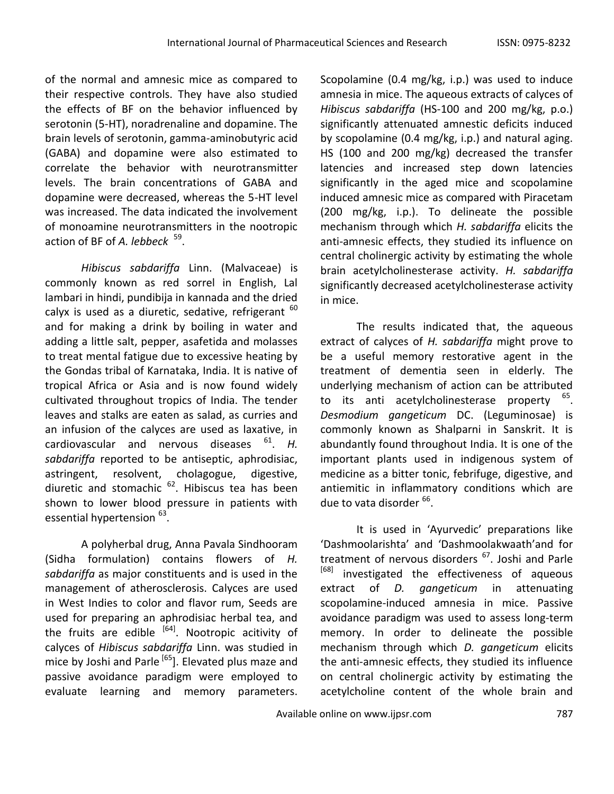of the normal and amnesic mice as compared to their respective controls. They have also studied the effects of BF on the behavior influenced by serotonin (5-HT), noradrenaline and dopamine. The brain levels of serotonin, gamma-aminobutyric acid (GABA) and dopamine were also estimated to correlate the behavior with neurotransmitter levels. The brain concentrations of GABA and dopamine were decreased, whereas the 5-HT level was increased. The data indicated the involvement of monoamine neurotransmitters in the nootropic action of BF of *A. lebbeck* <sup>59</sup>.

*Hibiscus sabdariffa* Linn. (Malvaceae) is commonly known as red sorrel in English, Lal lambari in hindi, pundibija in kannada and the dried calyx is used as a diuretic, sedative, refrigerant  $60$ and for making a drink by boiling in water and adding a little salt, pepper, asafetida and molasses to treat mental fatigue due to excessive heating by the Gondas tribal of Karnataka, India. It is native of tropical Africa or Asia and is now found widely cultivated throughout tropics of India. The tender leaves and stalks are eaten as salad, as curries and an infusion of the calyces are used as laxative, in cardiovascular and nervous diseases <sup>61</sup> . *H. sabdariffa* reported to be antiseptic, aphrodisiac, astringent, resolvent, cholagogue, digestive, diuretic and stomachic <sup>62</sup>. Hibiscus tea has been shown to lower blood pressure in patients with essential hypertension <sup>63</sup>.

A polyherbal drug, Anna Pavala Sindhooram (Sidha formulation) contains flowers of *H. sabdariffa* as major constituents and is used in the management of atherosclerosis. Calyces are used in West Indies to color and flavor rum, Seeds are used for preparing an aphrodisiac herbal tea, and the fruits are edible  $[64]$ . Nootropic acitivity of calyces of *Hibiscus sabdariffa* Linn. was studied in mice by Joshi and Parle <sup>[65</sup>]. Elevated plus maze and passive avoidance paradigm were employed to evaluate learning and memory parameters.

Scopolamine (0.4 mg/kg, i.p.) was used to induce amnesia in mice. The aqueous extracts of calyces of *Hibiscus sabdariffa* (HS-100 and 200 mg/kg, p.o.) significantly attenuated amnestic deficits induced by scopolamine (0.4 mg/kg, i.p.) and natural aging. HS (100 and 200 mg/kg) decreased the transfer latencies and increased step down latencies significantly in the aged mice and scopolamine induced amnesic mice as compared with Piracetam (200 mg/kg, i.p.). To delineate the possible mechanism through which *H. sabdariffa* elicits the anti-amnesic effects, they studied its influence on central cholinergic activity by estimating the whole brain acetylcholinesterase activity. *H. sabdariffa* significantly decreased acetylcholinesterase activity in mice.

The results indicated that, the aqueous extract of calyces of *H. sabdariffa* might prove to be a useful memory restorative agent in the treatment of dementia seen in elderly. The underlying mechanism of action can be attributed to its anti acetylcholinesterase property <sup>65</sup>. *Desmodium gangeticum* DC. (Leguminosae) is commonly known as Shalparni in Sanskrit. It is abundantly found throughout India. It is one of the important plants used in indigenous system of medicine as a bitter tonic, febrifuge, digestive, and antiemitic in inflammatory conditions which are due to vata disorder <sup>66</sup>.

It is used in 'Ayurvedic' preparations like 'Dashmoolarishta' and 'Dashmoolakwaath'and for treatment of nervous disorders <sup>67</sup>. Joshi and Parle <sup>[68]</sup> investigated the effectiveness of aqueous extract of *D. gangeticum* in attenuating scopolamine-induced amnesia in mice. Passive avoidance paradigm was used to assess long-term memory. In order to delineate the possible mechanism through which *D. gangeticum* elicits the anti-amnesic effects, they studied its influence on central cholinergic activity by estimating the acetylcholine content of the whole brain and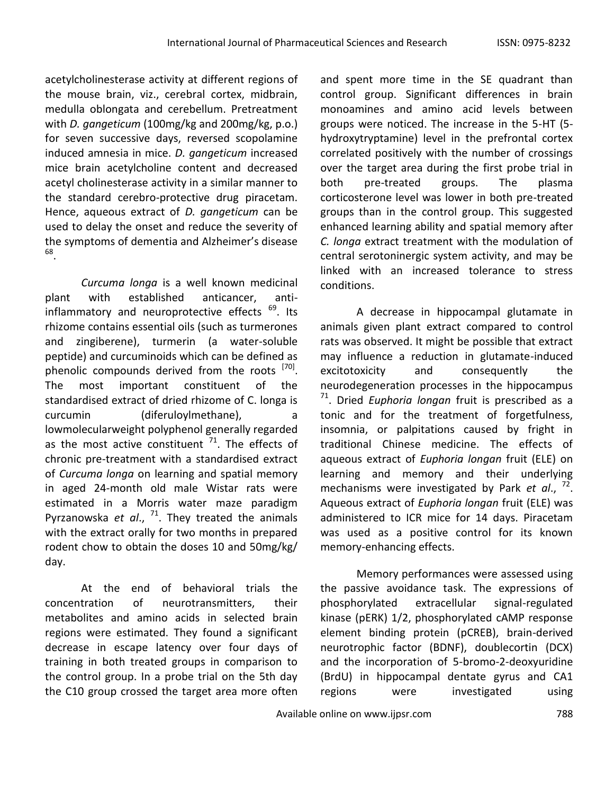acetylcholinesterase activity at different regions of the mouse brain, viz., cerebral cortex, midbrain, medulla oblongata and cerebellum. Pretreatment with *D. gangeticum* (100mg/kg and 200mg/kg, p.o.) for seven successive days, reversed scopolamine induced amnesia in mice. *D. gangeticum* increased mice brain acetylcholine content and decreased acetyl cholinesterase activity in a similar manner to the standard cerebro-protective drug piracetam. Hence, aqueous extract of *D. gangeticum* can be used to delay the onset and reduce the severity of the symptoms of dementia and Alzheimer's disease 68 .

*Curcuma longa* is a well known medicinal plant with established anticancer, antiinflammatory and neuroprotective effects <sup>69</sup>. Its rhizome contains essential oils (such as turmerones and zingiberene), turmerin (a water-soluble peptide) and curcuminoids which can be defined as phenolic compounds derived from the roots <sup>[70]</sup>. The most important constituent of the standardised extract of dried rhizome of C. longa is curcumin (diferuloylmethane), lowmolecularweight polyphenol generally regarded as the most active constituent  $71$ . The effects of chronic pre-treatment with a standardised extract of *Curcuma longa* on learning and spatial memory in aged 24-month old male Wistar rats were estimated in a Morris water maze paradigm Pyrzanowska *et al*., <sup>71</sup>. They treated the animals with the extract orally for two months in prepared rodent chow to obtain the doses 10 and 50mg/kg/ day.

At the end of behavioral trials the concentration of neurotransmitters, their metabolites and amino acids in selected brain regions were estimated. They found a significant decrease in escape latency over four days of training in both treated groups in comparison to the control group. In a probe trial on the 5th day the C10 group crossed the target area more often

and spent more time in the SE quadrant than control group. Significant differences in brain monoamines and amino acid levels between groups were noticed. The increase in the 5-HT (5 hydroxytryptamine) level in the prefrontal cortex correlated positively with the number of crossings over the target area during the first probe trial in both pre-treated groups. The plasma corticosterone level was lower in both pre-treated groups than in the control group. This suggested enhanced learning ability and spatial memory after *C. longa* extract treatment with the modulation of central serotoninergic system activity, and may be linked with an increased tolerance to stress conditions.

A decrease in hippocampal glutamate in animals given plant extract compared to control rats was observed. It might be possible that extract may influence a reduction in glutamate-induced excitotoxicity and consequently the neurodegeneration processes in the hippocampus 71 . Dried *Euphoria longan* fruit is prescribed as a tonic and for the treatment of forgetfulness, insomnia, or palpitations caused by fright in traditional Chinese medicine. The effects of aqueous extract of *Euphoria longan* fruit (ELE) on learning and memory and their underlying mechanisms were investigated by Park *et al*., 72 . Aqueous extract of *Euphoria longan* fruit (ELE) was administered to ICR mice for 14 days. Piracetam was used as a positive control for its known memory-enhancing effects.

Memory performances were assessed using the passive avoidance task. The expressions of phosphorylated extracellular signal-regulated kinase (pERK) 1/2, phosphorylated cAMP response element binding protein (pCREB), brain-derived neurotrophic factor (BDNF), doublecortin (DCX) and the incorporation of 5-bromo-2-deoxyuridine (BrdU) in hippocampal dentate gyrus and CA1 regions were investigated using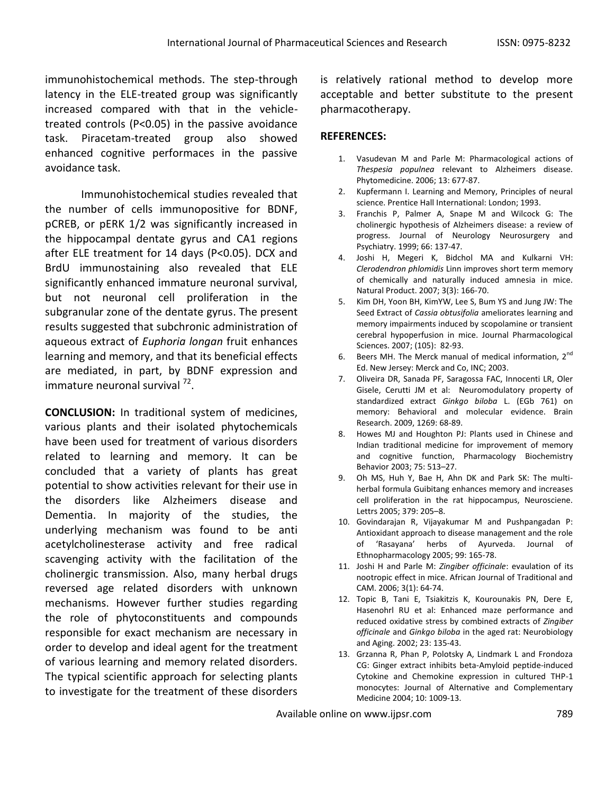immunohistochemical methods. The step-through latency in the ELE-treated group was significantly increased compared with that in the vehicletreated controls (P<0.05) in the passive avoidance task. Piracetam-treated group also showed enhanced cognitive performaces in the passive avoidance task.

Immunohistochemical studies revealed that the number of cells immunopositive for BDNF, pCREB, or pERK 1/2 was significantly increased in the hippocampal dentate gyrus and CA1 regions after ELE treatment for 14 days (P<0.05). DCX and BrdU immunostaining also revealed that ELE significantly enhanced immature neuronal survival, but not neuronal cell proliferation in the subgranular zone of the dentate gyrus. The present results suggested that subchronic administration of aqueous extract of *Euphoria longan* fruit enhances learning and memory, and that its beneficial effects are mediated, in part, by BDNF expression and immature neuronal survival <sup>72</sup>.

**CONCLUSION:** In traditional system of medicines, various plants and their isolated phytochemicals have been used for treatment of various disorders related to learning and memory. It can be concluded that a variety of plants has great potential to show activities relevant for their use in the disorders like Alzheimers disease and Dementia. In majority of the studies, the underlying mechanism was found to be anti acetylcholinesterase activity and free radical scavenging activity with the facilitation of the cholinergic transmission. Also, many herbal drugs reversed age related disorders with unknown mechanisms. However further studies regarding the role of phytoconstituents and compounds responsible for exact mechanism are necessary in order to develop and ideal agent for the treatment of various learning and memory related disorders. The typical scientific approach for selecting plants to investigate for the treatment of these disorders

is relatively rational method to develop more acceptable and better substitute to the present pharmacotherapy.

# **REFERENCES:**

- 1. Vasudevan M and Parle M: Pharmacological actions of *Thespesia populnea* relevant to Alzheimers disease. Phytomedicine. 2006; 13: 677-87.
- 2. Kupfermann I. Learning and Memory, Principles of neural science. Prentice Hall International: London; 1993.
- 3. Franchis P, Palmer A, Snape M and Wilcock G: The cholinergic hypothesis of Alzheimers disease: a review of progress. Journal of Neurology Neurosurgery and Psychiatry. 1999; 66: 137-47.
- 4. Joshi H, Megeri K, Bidchol MA and Kulkarni VH: *Clerodendron phlomidis* Linn improves short term memory of chemically and naturally induced amnesia in mice. Natural Product. 2007; 3(3): 166-70.
- 5. Kim DH, Yoon BH, KimYW, Lee S, Bum YS and Jung JW: The Seed Extract of *Cassia obtusifolia* ameliorates learning and memory impairments induced by scopolamine or transient cerebral hypoperfusion in mice. Journal Pharmacological Sciences. 2007; (105): 82-93.
- 6. Beers MH. The Merck manual of medical information,  $2^{nd}$ Ed. New Jersey: Merck and Co, INC; 2003.
- 7. Oliveira DR, Sanada PF, Saragossa FAC, Innocenti LR, Oler Gisele, Cerutti JM et al: Neuromodulatory property of standardized extract *Ginkgo biloba* L. (EGb 761) on memory: Behavioral and molecular evidence. Brain Research. 2009, 1269: 68-89.
- 8. Howes MJ and Houghton PJ: Plants used in Chinese and Indian traditional medicine for improvement of memory and cognitive function, Pharmacology Biochemistry Behavior 2003; 75: 513–27.
- 9. Oh MS, Huh Y, Bae H, Ahn DK and Park SK: The multiherbal formula Guibitang enhances memory and increases cell proliferation in the rat hippocampus, Neurosciene. Lettrs 2005; 379: 205–8.
- 10. Govindarajan R, Vijayakumar M and Pushpangadan P: Antioxidant approach to disease management and the role of 'Rasayana' herbs of Ayurveda. Journal of Ethnopharmacology 2005; 99: 165-78.
- 11. Joshi H and Parle M: *Zingiber officinale*: evaulation of its nootropic effect in mice. African Journal of Traditional and CAM. 2006; 3(1): 64-74.
- 12. Topic B, Tani E, Tsiakitzis K, Kourounakis PN, Dere E, Hasenohrl RU et al: Enhanced maze performance and reduced oxidative stress by combined extracts of *Zingiber officinale* and *Ginkgo biloba* in the aged rat: Neurobiology and Aging. 2002; 23: 135-43.
- 13. Grzanna R, Phan P, Polotsky A, Lindmark L and Frondoza CG: Ginger extract inhibits beta-Amyloid peptide-induced Cytokine and Chemokine expression in cultured THP-1 monocytes: Journal of Alternative and Complementary Medicine 2004; 10: 1009-13.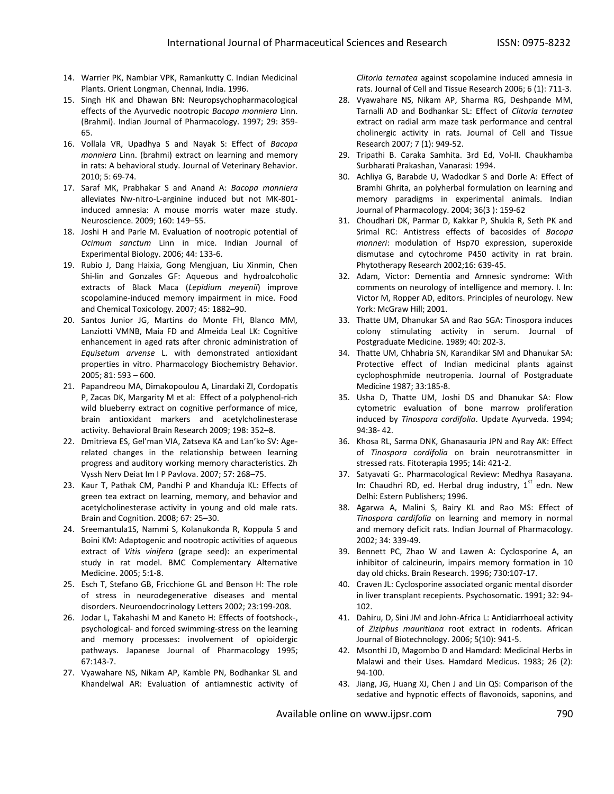- 14. Warrier PK, Nambiar VPK, Ramankutty C. Indian Medicinal Plants. Orient Longman, Chennai, India. 1996.
- 15. Singh HK and Dhawan BN: Neuropsychopharmacological effects of the Ayurvedic nootropic *Bacopa monniera* Linn. (Brahmi). Indian Journal of Pharmacology. 1997; 29: 359- 65.
- 16. Vollala VR, Upadhya S and Nayak S: Effect of *Bacopa monniera* Linn. (brahmi) extract on learning and memory in rats: A behavioral study. Journal of Veterinary Behavior. 2010; 5: 69-74.
- 17. Saraf MK, Prabhakar S and Anand A: *Bacopa monniera* alleviates Nw-nitro-L-arginine induced but not MK-801 induced amnesia: A mouse morris water maze study. Neuroscience. 2009; 160: 149–55.
- 18. Joshi H and Parle M. Evaluation of nootropic potential of *Ocimum sanctum* Linn in mice. Indian Journal of Experimental Biology. 2006; 44: 133-6.
- 19. Rubio J, Dang Haixia, Gong Mengjuan, Liu Xinmin, Chen Shi-lin and Gonzales GF: Aqueous and hydroalcoholic extracts of Black Maca (*Lepidium meyenii*) improve scopolamine-induced memory impairment in mice. Food and Chemical Toxicology. 2007; 45: 1882–90.
- 20. Santos Junior JG, Martins do Monte FH, Blanco MM, Lanziotti VMNB, Maia FD and Almeida Leal LK: Cognitive enhancement in aged rats after chronic administration of *Equisetum arvense* L. with demonstrated antioxidant properties in vitro. Pharmacology Biochemistry Behavior. 2005; 81: 593 – 600.
- 21. Papandreou MA, Dimakopoulou A, Linardaki ZI, Cordopatis P, Zacas DK, Margarity M et al: Effect of a polyphenol-rich wild blueberry extract on cognitive performance of mice, brain antioxidant markers and acetylcholinesterase activity. Behavioral Brain Research 2009; 198: 352–8.
- 22. Dmitrieva ES, Gel'man VIA, Zatseva KA and Lan'ko SV: Agerelated changes in the relationship between learning progress and auditory working memory characteristics. Zh Vyssh Nerv Deiat Im I P Pavlova. 2007; 57: 268–75.
- 23. Kaur T, Pathak CM, Pandhi P and Khanduja KL: Effects of green tea extract on learning, memory, and behavior and acetylcholinesterase activity in young and old male rats. Brain and Cognition. 2008; 67: 25–30.
- 24. Sreemantula1S, Nammi S, Kolanukonda R, Koppula S and Boini KM: Adaptogenic and nootropic activities of aqueous extract of *Vitis vinifera* (grape seed): an experimental study in rat model. BMC Complementary Alternative Medicine. 2005; 5:1-8.
- 25. Esch T, Stefano GB, Fricchione GL and Benson H: The role of stress in neurodegenerative diseases and mental disorders. Neuroendocrinology Letters 2002; 23:199-208.
- 26. Jodar L, Takahashi M and Kaneto H: Effects of footshock-, psychological- and forced swimming-stress on the learning and memory processes: involvement of opioidergic pathways. Japanese Journal of Pharmacology 1995; 67:143-7.
- 27. Vyawahare NS, Nikam AP, Kamble PN, Bodhankar SL and Khandelwal AR: Evaluation of antiamnestic activity of

*Clitoria ternatea* against scopolamine induced amnesia in rats. Journal of Cell and Tissue Research 2006; 6 (1): 711-3.

- 28. Vyawahare NS, Nikam AP, Sharma RG, Deshpande MM, Tarnalli AD and Bodhankar SL: Effect of *Clitoria ternatea* extract on radial arm maze task performance and central cholinergic activity in rats. Journal of Cell and Tissue Research 2007; 7 (1): 949-52.
- 29. Tripathi B. Caraka Samhita. 3rd Ed, Vol-II. Chaukhamba Surbharati Prakashan, Vanarasi: 1994.
- 30. Achliya G, Barabde U, Wadodkar S and Dorle A: Effect of Bramhi Ghrita, an polyherbal formulation on learning and memory paradigms in experimental animals. Indian Journal of Pharmacology. 2004; 36(3 ): 159-62
- 31. Choudhari DK, Parmar D, Kakkar P, Shukla R, Seth PK and Srimal RC: Antistress effects of bacosides of *Bacopa monneri*: modulation of Hsp70 expression, superoxide dismutase and cytochrome P450 activity in rat brain. Phytotherapy Research 2002;16: 639-45.
- 32. Adam, Victor: Dementia and Amnesic syndrome: With comments on neurology of intelligence and memory. I. In: Victor M, Ropper AD, editors. Principles of neurology. New York: McGraw Hill; 2001.
- 33. Thatte UM, Dhanukar SA and Rao SGA: Tinospora induces colony stimulating activity in serum. Journal of Postgraduate Medicine. 1989; 40: 202-3.
- 34. Thatte UM, Chhabria SN, Karandikar SM and Dhanukar SA: Protective effect of Indian medicinal plants against cyclophosphmide neutropenia. Journal of Postgraduate Medicine 1987; 33:185-8.
- 35. Usha D, Thatte UM, Joshi DS and Dhanukar SA: Flow cytometric evaluation of bone marrow proliferation induced by *Tinospora cordifolia*. Update Ayurveda. 1994; 94:38- 42.
- 36. Khosa RL, Sarma DNK, Ghanasauria JPN and Ray AK: Effect of *Tinospora cordifolia* on brain neurotransmitter in stressed rats. Fitoterapia 1995; 14i: 421-2.
- 37. Satyavati G:. Pharmacological Review: Medhya Rasayana. In: Chaudhri RD, ed. Herbal drug industry,  $1^{st}$  edn. New Delhi: Estern Publishers; 1996.
- 38. Agarwa A, Malini S, Bairy KL and Rao MS: Effect of *Tinospora cardifolia* on learning and memory in normal and memory deficit rats. Indian Journal of Pharmacology. 2002; 34: 339-49.
- 39. Bennett PC, Zhao W and Lawen A: Cyclosporine A, an inhibitor of calcineurin, impairs memory formation in 10 day old chicks. Brain Research. 1996; 730:107-17.
- 40. Craven JL: Cyclosporine associated organic mental disorder in liver transplant recepients. Psychosomatic. 1991; 32: 94- 102.
- 41. Dahiru, D, Sini JM and John-Africa L: Antidiarrhoeal activity of *Ziziphus mauritiana* root extract in rodents. African Journal of Biotechnology. 2006; 5(10): 941-5.
- 42. Msonthi JD, Magombo D and Hamdard: Medicinal Herbs in Malawi and their Uses. Hamdard Medicus. 1983; 26 (2): 94-100.
- 43. Jiang, JG, Huang XJ, Chen J and Lin QS: Comparison of the sedative and hypnotic effects of flavonoids, saponins, and